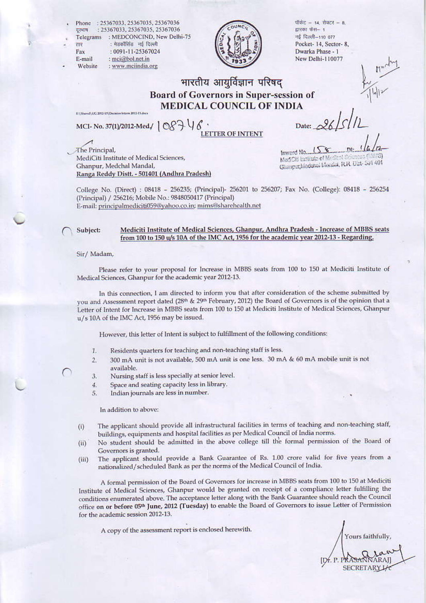Phone:: 25367033, 25367035, 25367036 : 25367033, 25367035, 25367036 दरभाष : MEDCONCIND, New Delhi-75 Telegrams : मेडकॉरिनंड 'नई दिल्ली तार Fax : 0091-11-25367024

: mci@bol.net.in

: www.mciindia.org

E-mail

Website



पॉकेट - 14, सेक्टर - 8, द्रारका फंस– 1 नई दिल्ली-110 077 Pocket-14, Sector-8, Dwarka Phase - 1 New Delhi-110077

#### भारतीय आयुर्विज्ञान परिषद **Board of Governors in Super-session of MEDICAL COUNCIL OF INDIA**

MCI- No. 37(1)/2012-Med/ | 087 46

EASIanah UC 2012-13/Decision letters 2012-13 days

ETTER OF INTENT

Date:  $\sqrt{8}$ 

The Principal, MediCiti Institute of Medical Sciences, Ghanpur, Medchal Mandal, Ranga Reddy Distt. - 501401 (Andhra Pradesh)

Inwerd No. ModCill behave of Med Ghanpur, Mederal Mesidat, R.R. Dat-So'i 401

College No. (Direct) : 08418 - 256235; (Principal)- 256201 to 256207; Fax No. (College): 08418 - 256254 (Principal) / 256216; Mobile No.: 9848050417 (Principal) E-mail: principalmediciti059@yahoo.co.in; mims@sharehealth.net

#### Mediciti Institute of Medical Sciences, Ghanpur, Andhra Pradesh - Increase of MBBS seats Subject: from 100 to 150 u/s 10A of the IMC Act, 1956 for the academic year 2012-13 - Regarding.

Sir/Madam,

Please refer to your proposal for Increase in MBBS seats from 100 to 150 at Mediciti Institute of Medical Sciences, Ghanpur for the academic year 2012-13.

In this connection, I am directed to inform you that after consideration of the scheme submitted by you and Assessment report dated (28th & 29th February, 2012) the Board of Governors is of the opinion that a Letter of Intent for Increase in MBBS seats from 100 to 150 at Mediciti Institute of Medical Sciences, Ghanpur u/s 10A of the IMC Act, 1956 may be issued.

However, this letter of Intent is subject to fulfillment of the following conditions:

- Residents quarters for teaching and non-teaching staff is less.  $1.$
- 300 mA unit is not available, 500 mA unit is one less. 30 mA & 60 mA mobile unit is not  $2.$ available.
- 3. Nursing staff is less specially at senior level.
- Space and seating capacity less in library.  $4.$
- Indian journals are less in number. 5.

In addition to above:

- The applicant should provide all infrastructural facilities in terms of teaching and non-teaching staff,  $(i)$ buildings, equipments and hospital facilities as per Medical Council of India norms.
- No student should be admitted in the above college till the formal permission of the Board of  $(ii)$ Governors is granted.
- The applicant should provide a Bank Guarantee of Rs. 1.00 crore valid for five years from a  $(iii)$ nationalized/scheduled Bank as per the norms of the Medical Council of India.

A formal permission of the Board of Governors for increase in MBBS seats from 100 to 150 at Mediciti Institute of Medical Sciences, Ghanpur would be granted on receipt of a compliance letter fulfilling the conditions enumerated above. The acceptance letter along with the Bank Guarantee should reach the Council office on or before 05th June, 2012 (Tuesday) to enable the Board of Governors to issue Letter of Permission for the academic session 2012-13.

A copy of the assessment report is enclosed herewith.

Yours faithfully, **SECRETARY**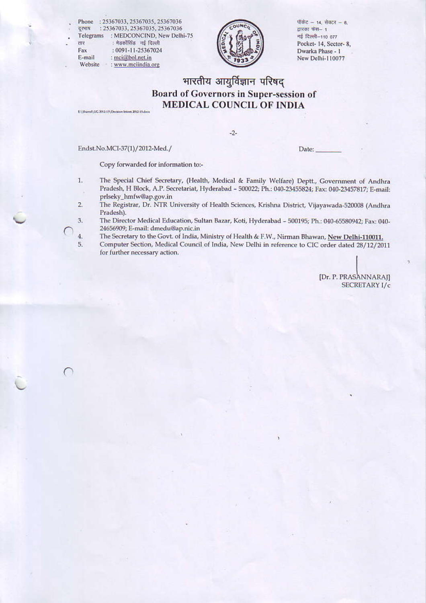Phone: : 25367033, 25367035, 25367036 : 25367033, 25367035, 25367036 दूरभाष Telegrams : MEDCONCIND, New Delhi-75 : मेडकॉसिंड नई दिल्ली तार : 0091-11-25367024 Fax E-mail : mci@bol.net.in

: www.mciindia.org

 $11MC$ 

पॉकेट - 14, सेक्टर - 8. द्वारका फंस- 1 नई दिल्ली-110 077 Pocket-14, Sector-8, Dwarka Phase - 1 New Delhi-110077

# भारतीय आयुर्विज्ञान परिषद Board of Governors in Super-session of **MEDICAL COUNCIL OF INDIA**

ESSNervilly UG 2012-135 Decision letters 2012-13 diver

Website

C

 $-2-$ 

Endst.No.MCI-37(1)/2012-Med./

Date:

Copy forwarded for information to:-

- The Special Chief Secretary, (Health, Medical & Family Welfare) Deptt., Government of Andhra 1. Pradesh, H Block, A.P. Secretariat, Hyderabad - 500022; Ph.: 040-23455824; Fax: 040-23457817; E-mail: prlseky\_hmfw@ap.gov.in
- $2.$ The Registrar, Dr. NTR University of Health Sciences, Krishna District, Vijayawada-520008 (Andhra Pradesh).
- 3. The Director Medical Education, Sultan Bazar, Koti, Hyderabad - 500195; Ph.: 040-65580942; Fax: 040-24656909; E-mail: dmedu@ap.nic.in  $4.$ 
	- The Secretary to the Govt. of India, Ministry of Health & F.W., Nirman Bhawan, New Delhi-110011.
- 5. Computer Section, Medical Council of India, New Delhi in reference to CIC order dated 28/12/2011 for further necessary action.

[Dr. P. PRASANNARAJ] SECRETARY I/c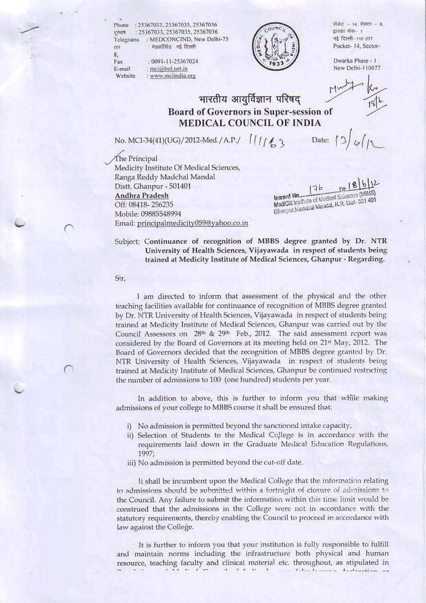Phone: 25367033, 25367035, 25367036 दूरमाय : 25367033, 25367035, 25367036 Telegrams : MEDCONCIND, New Delhi-75 : मेडकॉसिंड नई दिल्ली तार

: 0091-11-25367024

: www.mciindia.org

: mci@bol.net.in



पाँकेट - 14 सेक्टर - 8 द्वारका फंस- 1 नई दिल्ली-110 077 Pocket-14, Sector-

Dwarka Phase - 1 New Delhi-110077

### भारतीय आयूर्विज्ञान परिषद Board of Governors in Super-session of **MEDICAL COUNCIL OF INDIA**

No. MCI-34(41)(UG)/2012-Med./ A.P./  $\int$  /  $\int$  /  $\int$  3

The Principal Medicity Institute Of Medical Sciences, Ranga Reddy Madchal Mandal Distt. Ghanpur - 501401 **Andhra Pradesh** Off: 08418-256235 Mobile: 09885548994 Email: principalmedicity059@yahoo.co.in

 $-0!18612$  $176$ MadCld Institute of Madiosi Sciences (MMS) Chimput, hisdelasi Mandal, R.R. Dist-501 401

Date:

Subject: Continuance of recognition of MBBS degree granted by Dr. NTR University of Health Sciences, Vijayawada in respect of students being trained at Medicity Institute of Medical Sciences, Ghanpur - Regarding.

Sir,

 $\mathbf{R}$ 

Fax

F-mail

Website

I am directed to inform that assessment of the physical and the other teaching facilities available for continuance of recognition of MBBS degree granted by Dr. NTR University of Health Sciences, Vijayawada in respect of students being trained at Medicity Institute of Medical Sciences, Ghanpur was carried out by the Council Assessors on 28th & 29th Feb., 2012. The said assessment report was considered by the Board of Governors at its meeting held on 21<sup>st</sup> May, 2012. The Board of Governors decided that the recognition of MBBS degree granted by Dr. NTR University of Health Sciences, Vijayawada in respect of students being trained at Medicity Institute of Medical Sciences, Ghanpur be continued restricting the number of admissions to 100 (one hundred) students per year.

In addition to above, this is further to inform you that while making admissions of your college to MBBS course it shall be ensured that:

- i) No admission is permitted beyond the sanctioned intake capacity;
- ii) Selection of Students to the Medical College is in accordance with the requirements laid down in the Graduate Medical Education Regulations, 1997;
- iii) No admission is permitted beyond the cut-off date.

It shall be incumbent upon the Medical College that the information relating to admissions should be submitted within a fortnight of closure of admissions to the Council. Any failure to submit the information within this time limit would be construed that the admissions in the College were not in accordance with the statutory requirements, thereby enabling the Council to proceed in accordance with law against the College.

It is further to inform you that your institution is fully responsible to fulfill and maintain norms including the infrastructure both physical and human resource, teaching faculty and clinical material etc. throughout, as stipulated in  $\mathbf{r} \cdot \mathbf{r} \cdot \mathbf{r} \cdot \mathbf{r} \cdot \mathbf{r}$  $\left\langle \mathbf{r},\mathbf{r},\mathbf{r},\mathbf{r},\mathbf{r},\mathbf{r},\mathbf{r},\mathbf{r},\mathbf{r},\mathbf{r},\mathbf{r},\mathbf{r},\mathbf{r},\mathbf{r},\mathbf{r},\mathbf{r},\mathbf{r},\mathbf{r},\mathbf{r},\mathbf{r},\mathbf{r},\mathbf{r},\mathbf{r},\mathbf{r},\mathbf{r},\mathbf{r},\mathbf{r},\mathbf{r},\mathbf{r},\mathbf{r},\mathbf{r},\mathbf{r},\mathbf{r},\mathbf{r},\mathbf{r},\mathbf{r},$ service Color Communication dealerships and